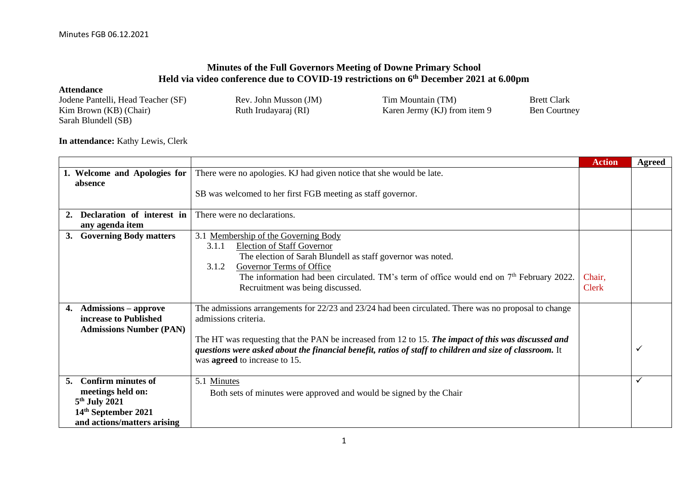## **Minutes of the Full Governors Meeting of Downe Primary School Held via video conference due to COVID-19 restrictions on 6 th December 2021 at 6.00pm**

## **Attendance** Jodene Pantelli, Head Teacher (SF) Rev. John Musson (JM) Tim Mountain (TM) Brett Clark<br>
Karen Jermy (KJ) from item 9 Ben Courtney Karen Jermy (KJ) from item 9 Sarah Blundell (SB)

## **In attendance:** Kathy Lewis, Clerk

|                                     |                                                                                                          | <b>Action</b> | Agreed |
|-------------------------------------|----------------------------------------------------------------------------------------------------------|---------------|--------|
| 1. Welcome and Apologies for        | There were no apologies. KJ had given notice that she would be late.                                     |               |        |
| absence                             |                                                                                                          |               |        |
|                                     | SB was welcomed to her first FGB meeting as staff governor.                                              |               |        |
|                                     |                                                                                                          |               |        |
| Declaration of interest in          | There were no declarations.                                                                              |               |        |
| any agenda item                     |                                                                                                          |               |        |
| <b>Governing Body matters</b><br>3. | 3.1 Membership of the Governing Body                                                                     |               |        |
|                                     | <b>Election of Staff Governor</b><br>3.1.1                                                               |               |        |
|                                     | The election of Sarah Blundell as staff governor was noted.                                              |               |        |
|                                     | Governor Terms of Office<br>3.1.2                                                                        |               |        |
|                                     | The information had been circulated. TM's term of office would end on $7th$ February 2022.               | Chair,        |        |
|                                     | Recruitment was being discussed.                                                                         | <b>Clerk</b>  |        |
|                                     |                                                                                                          |               |        |
| <b>Admissions</b> – approve<br>4.   | The admissions arrangements for $22/23$ and $23/24$ had been circulated. There was no proposal to change |               |        |
| increase to Published               | admissions criteria.                                                                                     |               |        |
| <b>Admissions Number (PAN)</b>      |                                                                                                          |               |        |
|                                     | The HT was requesting that the PAN be increased from 12 to 15. The impact of this was discussed and      |               |        |
|                                     | questions were asked about the financial benefit, ratios of staff to children and size of classroom. It  |               |        |
|                                     | was <b>agreed</b> to increase to 15.                                                                     |               |        |
|                                     |                                                                                                          |               |        |
| <b>Confirm minutes of</b><br>5.     | 5.1 Minutes                                                                                              |               | ✓      |
| meetings held on:                   | Both sets of minutes were approved and would be signed by the Chair                                      |               |        |
| $5th$ July 2021                     |                                                                                                          |               |        |
| 14 <sup>th</sup> September 2021     |                                                                                                          |               |        |
| and actions/matters arising         |                                                                                                          |               |        |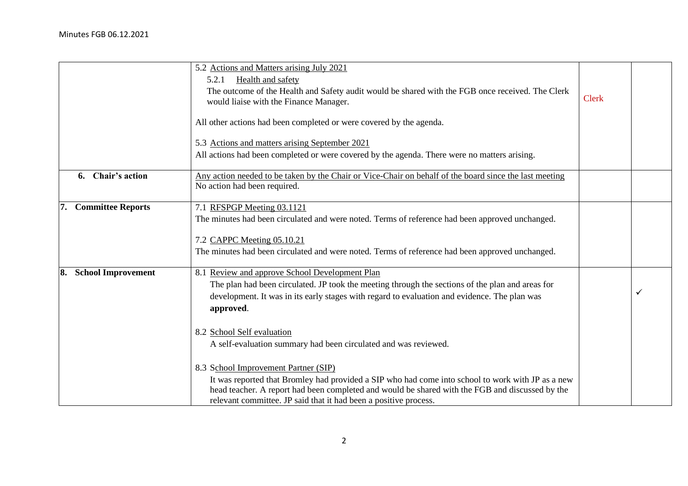|                                 | 5.2 Actions and Matters arising July 2021<br>Health and safety<br>5.2.1<br>The outcome of the Health and Safety audit would be shared with the FGB once received. The Clerk<br>would liaise with the Finance Manager.<br>All other actions had been completed or were covered by the agenda.                                                                                        | <b>Clerk</b> |              |
|---------------------------------|-------------------------------------------------------------------------------------------------------------------------------------------------------------------------------------------------------------------------------------------------------------------------------------------------------------------------------------------------------------------------------------|--------------|--------------|
|                                 | 5.3 Actions and matters arising September 2021<br>All actions had been completed or were covered by the agenda. There were no matters arising.                                                                                                                                                                                                                                      |              |              |
| Chair's action<br>6.            | Any action needed to be taken by the Chair or Vice-Chair on behalf of the board since the last meeting<br>No action had been required.                                                                                                                                                                                                                                              |              |              |
| 7. Committee Reports            | 7.1 RFSPGP Meeting 03.1121<br>The minutes had been circulated and were noted. Terms of reference had been approved unchanged.<br>7.2 CAPPC Meeting 05.10.21<br>The minutes had been circulated and were noted. Terms of reference had been approved unchanged.                                                                                                                      |              |              |
| <b>School Improvement</b><br>8. | 8.1 Review and approve School Development Plan<br>The plan had been circulated. JP took the meeting through the sections of the plan and areas for<br>development. It was in its early stages with regard to evaluation and evidence. The plan was<br>approved.<br>8.2 School Self evaluation                                                                                       |              | $\checkmark$ |
|                                 | A self-evaluation summary had been circulated and was reviewed.<br>8.3 School Improvement Partner (SIP)<br>It was reported that Bromley had provided a SIP who had come into school to work with JP as a new<br>head teacher. A report had been completed and would be shared with the FGB and discussed by the<br>relevant committee. JP said that it had been a positive process. |              |              |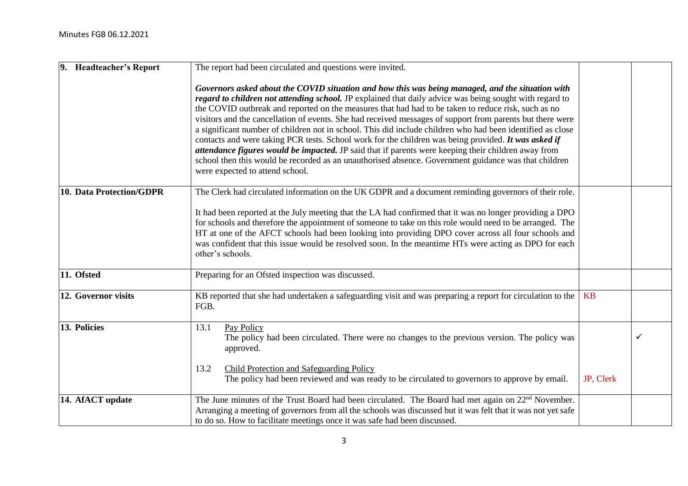| 9. Headteacher's Report  | The report had been circulated and questions were invited.                                                                                                                                                                                                                                                                                                                                                                                                                                                                                                                                                                                                                                                                                                                                                                                                                                              |           |  |
|--------------------------|---------------------------------------------------------------------------------------------------------------------------------------------------------------------------------------------------------------------------------------------------------------------------------------------------------------------------------------------------------------------------------------------------------------------------------------------------------------------------------------------------------------------------------------------------------------------------------------------------------------------------------------------------------------------------------------------------------------------------------------------------------------------------------------------------------------------------------------------------------------------------------------------------------|-----------|--|
|                          | Governors asked about the COVID situation and how this was being managed, and the situation with<br>regard to children not attending school. JP explained that daily advice was being sought with regard to<br>the COVID outbreak and reported on the measures that had had to be taken to reduce risk, such as no<br>visitors and the cancellation of events. She had received messages of support from parents but there were<br>a significant number of children not in school. This did include children who had been identified as close<br>contacts and were taking PCR tests. School work for the children was being provided. It was asked if<br>attendance figures would be impacted. JP said that if parents were keeping their children away from<br>school then this would be recorded as an unauthorised absence. Government guidance was that children<br>were expected to attend school. |           |  |
| 10. Data Protection/GDPR | The Clerk had circulated information on the UK GDPR and a document reminding governors of their role.<br>It had been reported at the July meeting that the LA had confirmed that it was no longer providing a DPO<br>for schools and therefore the appointment of someone to take on this role would need to be arranged. The<br>HT at one of the AFCT schools had been looking into providing DPO cover across all four schools and<br>was confident that this issue would be resolved soon. In the meantime HTs were acting as DPO for each<br>other's schools.                                                                                                                                                                                                                                                                                                                                       |           |  |
| 11. Ofsted               | Preparing for an Ofsted inspection was discussed.                                                                                                                                                                                                                                                                                                                                                                                                                                                                                                                                                                                                                                                                                                                                                                                                                                                       |           |  |
| 12. Governor visits      | KB reported that she had undertaken a safeguarding visit and was preparing a report for circulation to the<br>FGB.                                                                                                                                                                                                                                                                                                                                                                                                                                                                                                                                                                                                                                                                                                                                                                                      | KB        |  |
| 13. Policies             | 13.1<br>Pay Policy<br>The policy had been circulated. There were no changes to the previous version. The policy was<br>approved.<br>13.2<br><b>Child Protection and Safeguarding Policy</b><br>The policy had been reviewed and was ready to be circulated to governors to approve by email.                                                                                                                                                                                                                                                                                                                                                                                                                                                                                                                                                                                                            | JP, Clerk |  |
| 14. AfACT update         | The June minutes of the Trust Board had been circulated. The Board had met again on 22 <sup>nd</sup> November.<br>Arranging a meeting of governors from all the schools was discussed but it was felt that it was not yet safe<br>to do so. How to facilitate meetings once it was safe had been discussed.                                                                                                                                                                                                                                                                                                                                                                                                                                                                                                                                                                                             |           |  |